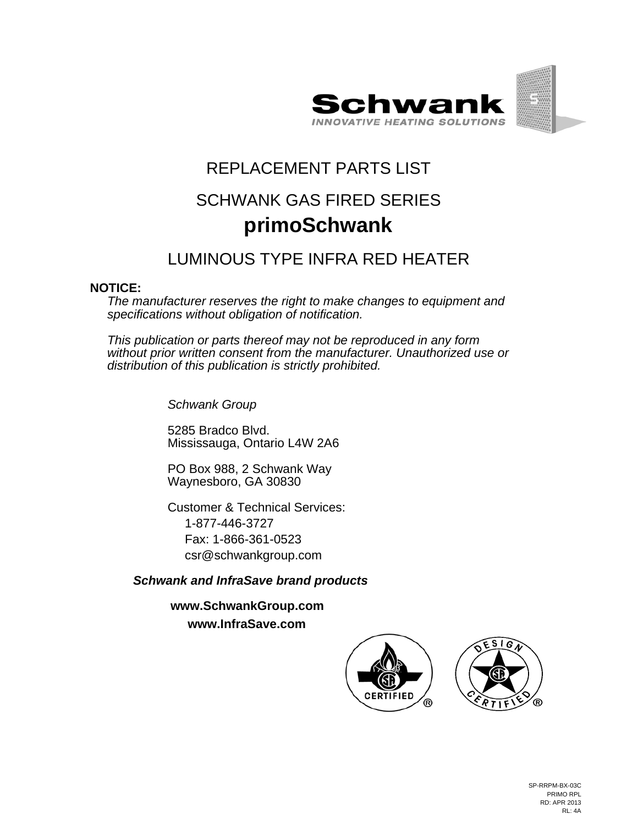



## REPLACEMENT PARTS LIST SCHWANK GAS FIRED SERIES **primoSchwank**

## LUMINOUS TYPE INFRA RED HEATER

## **NOTICE:**

*The manufacturer reserves the right to make changes to equipment and specifications without obligation of notification.*

*This publication or parts thereof may not be reproduced in any form without prior written consent from the manufacturer. Unauthorized use or distribution of this publication is strictly prohibited.*

*Schwank Group*

5285 Bradco Blvd. Mississauga, Ontario L4W 2A6

PO Box 988, 2 Schwank Way Waynesboro, GA 30830

Customer & Technical Services: 1-877-446-3727 Fax: 1-866-361-0523 csr@schwankgroup.com

*Schwank and InfraSave brand products*

**www.SchwankGroup.com www.InfraSave.com**



SP-RRPM-BX-03C PRIMO RPL RD: APR 2013 RL: 4A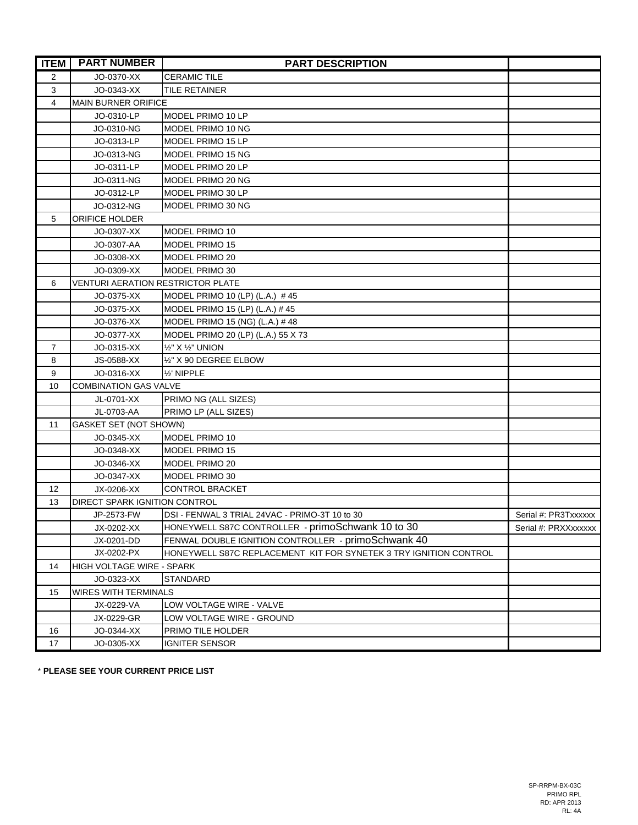| <b>ITEM</b> | <b>PART NUMBER</b>                       | <b>PART DESCRIPTION</b>                                           |                      |  |
|-------------|------------------------------------------|-------------------------------------------------------------------|----------------------|--|
| 2           | JO-0370-XX                               | <b>CERAMIC TILE</b>                                               |                      |  |
| 3           | JO-0343-XX                               | <b>TILE RETAINER</b>                                              |                      |  |
| 4           | <b>MAIN BURNER ORIFICE</b>               |                                                                   |                      |  |
|             | JO-0310-LP                               | MODEL PRIMO 10 LP                                                 |                      |  |
|             | JO-0310-NG                               | MODEL PRIMO 10 NG                                                 |                      |  |
|             | JO-0313-LP                               | MODEL PRIMO 15 LP                                                 |                      |  |
|             | JO-0313-NG                               | MODEL PRIMO 15 NG                                                 |                      |  |
|             | JO-0311-LP                               | MODEL PRIMO 20 LP                                                 |                      |  |
|             | JO-0311-NG                               | MODEL PRIMO 20 NG                                                 |                      |  |
|             | JO-0312-LP                               | MODEL PRIMO 30 LP                                                 |                      |  |
|             | JO-0312-NG                               | MODEL PRIMO 30 NG                                                 |                      |  |
| 5           | <b>ORIFICE HOLDER</b>                    |                                                                   |                      |  |
|             | JO-0307-XX                               | MODEL PRIMO 10                                                    |                      |  |
|             | JO-0307-AA                               | MODEL PRIMO 15                                                    |                      |  |
|             | JO-0308-XX                               | MODEL PRIMO 20                                                    |                      |  |
|             | JO-0309-XX                               | MODEL PRIMO 30                                                    |                      |  |
| 6           | <b>VENTURI AERATION RESTRICTOR PLATE</b> |                                                                   |                      |  |
|             | JO-0375-XX                               | MODEL PRIMO 10 (LP) (L.A.) #45                                    |                      |  |
|             | JO-0375-XX                               | MODEL PRIMO 15 (LP) (L.A.) #45                                    |                      |  |
|             | JO-0376-XX                               | MODEL PRIMO 15 (NG) (L.A.) #48                                    |                      |  |
|             | JO-0377-XX                               | MODEL PRIMO 20 (LP) (L.A.) 55 X 73                                |                      |  |
| 7           | JO-0315-XX                               | 1/2" X 1/2" UNION                                                 |                      |  |
| 8           | JS-0588-XX                               | 1/2" X 90 DEGREE ELBOW                                            |                      |  |
| 9           | JO-0316-XX                               | 1/2' NIPPLE                                                       |                      |  |
| 10          | <b>COMBINATION GAS VALVE</b>             |                                                                   |                      |  |
|             | JL-0701-XX                               | PRIMO NG (ALL SIZES)                                              |                      |  |
|             | JL-0703-AA                               | PRIMO LP (ALL SIZES)                                              |                      |  |
| 11          | <b>GASKET SET (NOT SHOWN)</b>            |                                                                   |                      |  |
|             | JO-0345-XX                               | MODEL PRIMO 10                                                    |                      |  |
|             | JO-0348-XX                               | MODEL PRIMO 15                                                    |                      |  |
|             | JO-0346-XX                               | MODEL PRIMO 20                                                    |                      |  |
|             | JO-0347-XX                               | MODEL PRIMO 30                                                    |                      |  |
| 12          | JX-0206-XX                               | <b>CONTROL BRACKET</b>                                            |                      |  |
| 13          | <b>DIRECT SPARK IGNITION CONTROL</b>     |                                                                   |                      |  |
|             | JP-2573-FW                               | DSI - FENWAL 3 TRIAL 24VAC - PRIMO-3T 10 to 30                    | Serial #: PR3Txxxxxx |  |
|             | JX-0202-XX                               | HONEYWELL S87C CONTROLLER - primoSchwank 10 to 30                 | Serial #: PRXXxxxxxx |  |
|             | JX-0201-DD                               | FENWAL DOUBLE IGNITION CONTROLLER - primoSchwank 40               |                      |  |
|             | JX-0202-PX                               | HONEYWELL S87C REPLACEMENT KIT FOR SYNETEK 3 TRY IGNITION CONTROL |                      |  |
| 14          | HIGH VOLTAGE WIRE - SPARK                |                                                                   |                      |  |
|             | JO-0323-XX                               | STANDARD                                                          |                      |  |
| 15          | <b>WIRES WITH TERMINALS</b>              |                                                                   |                      |  |
|             | JX-0229-VA                               | LOW VOLTAGE WIRE - VALVE                                          |                      |  |
|             | JX-0229-GR                               | LOW VOLTAGE WIRE - GROUND                                         |                      |  |
| 16          | JO-0344-XX                               | PRIMO TILE HOLDER                                                 |                      |  |
| 17          | JO-0305-XX                               | <b>IGNITER SENSOR</b>                                             |                      |  |

\* **PLEASE SEE YOUR CURRENT PRICE LIST**